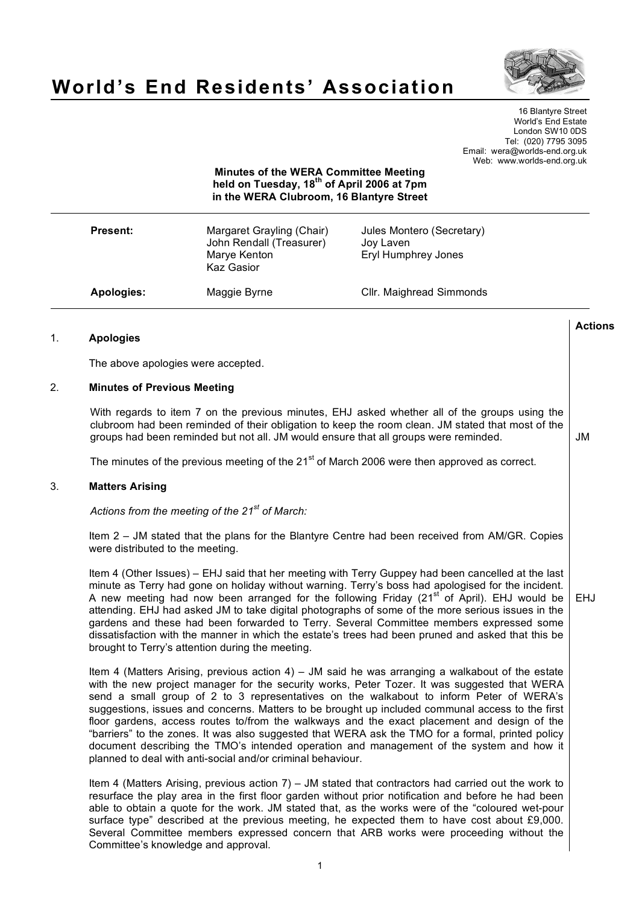

# **World's End Residents' Association**

16 Blantyre Street World's End Estate London SW10 0DS Tel: (020) 7795 3095 Email: wera@worlds-end.org.uk Web: www.worlds-end.org.uk

## **Minutes of the WERA Committee Meeting held on Tuesday, 18th of April 2006 at 7pm in the WERA Clubroom, 16 Blantyre Street**

| <b>Present:</b> | Margaret Grayling (Chair)<br>John Rendall (Treasurer)<br>Marye Kenton<br>Kaz Gasior | Jules Montero (Secretary)<br>Joy Laven<br>Eryl Humphrey Jones |
|-----------------|-------------------------------------------------------------------------------------|---------------------------------------------------------------|
| Apologies:      | Maggie Byrne                                                                        | Cllr. Maighread Simmonds                                      |

## 1. **Apologies**

The above apologies were accepted.

## 2. **Minutes of Previous Meeting**

With regards to item 7 on the previous minutes, EHJ asked whether all of the groups using the clubroom had been reminded of their obligation to keep the room clean. JM stated that most of the groups had been reminded but not all. JM would ensure that all groups were reminded.

The minutes of the previous meeting of the 21<sup>st</sup> of March 2006 were then approved as correct.

## 3. **Matters Arising**

*Actions from the meeting of the 21st of March:*

Item 2 – JM stated that the plans for the Blantyre Centre had been received from AM/GR. Copies were distributed to the meeting.

Item 4 (Other Issues) – EHJ said that her meeting with Terry Guppey had been cancelled at the last minute as Terry had gone on holiday without warning. Terry's boss had apologised for the incident. A new meeting had now been arranged for the following Friday (21<sup>st of</sup> April). EHJ would be attending. EHJ had asked JM to take digital photographs of some of the more serious issues in the gardens and these had been forwarded to Terry. Several Committee members expressed some dissatisfaction with the manner in which the estate's trees had been pruned and asked that this be brought to Terry's attention during the meeting. EHJ

Item 4 (Matters Arising, previous action 4) – JM said he was arranging a walkabout of the estate with the new project manager for the security works, Peter Tozer. It was suggested that WERA send a small group of 2 to 3 representatives on the walkabout to inform Peter of WERA's suggestions, issues and concerns. Matters to be brought up included communal access to the first floor gardens, access routes to/from the walkways and the exact placement and design of the "barriers" to the zones. It was also suggested that WERA ask the TMO for a formal, printed policy document describing the TMO's intended operation and management of the system and how it planned to deal with anti-social and/or criminal behaviour.

Item 4 (Matters Arising, previous action 7) – JM stated that contractors had carried out the work to resurface the play area in the first floor garden without prior notification and before he had been able to obtain a quote for the work. JM stated that, as the works were of the "coloured wet-pour surface type" described at the previous meeting, he expected them to have cost about £9,000. Several Committee members expressed concern that ARB works were proceeding without the Committee's knowledge and approval.

**Actions**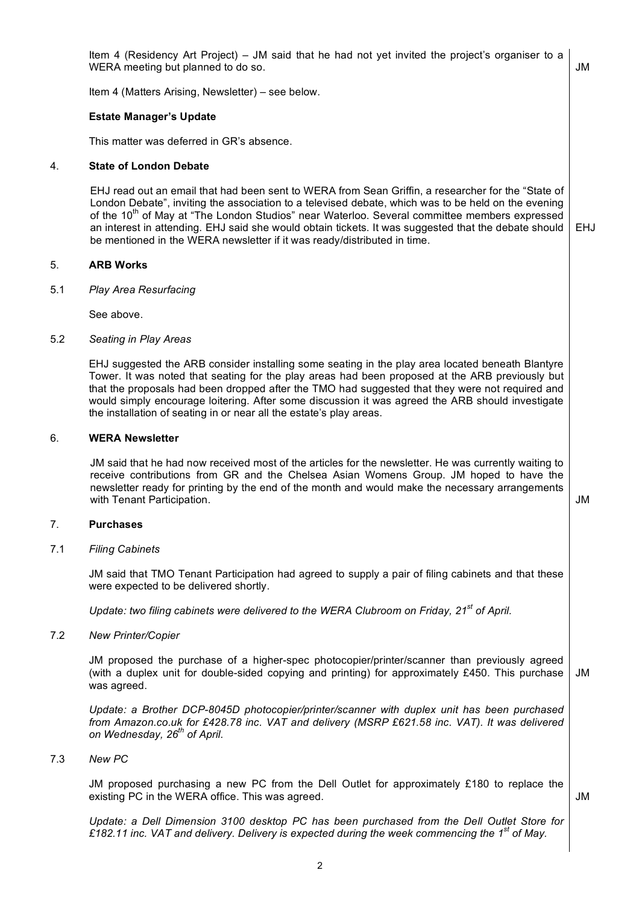JM proposed purchasing a new PC from the Dell Outlet for approximately £180 to replace the existing PC in the WERA office. This was agreed.

*Update: a Dell Dimension 3100 desktop PC has been purchased from the Dell Outlet Store for £182.11 inc. VAT and delivery. Delivery is expected during the week commencing the 1st of May.*

JM

## the installation of seating in or near all the estate's play areas. 6. **WERA Newsletter**

5. **ARB Works**

5.1 *Play Area Resurfacing*

JM said that he had now received most of the articles for the newsletter. He was currently waiting to receive contributions from GR and the Chelsea Asian Womens Group. JM hoped to have the newsletter ready for printing by the end of the month and would make the necessary arrangements with Tenant Participation.  $\Box$ 

EHJ suggested the ARB consider installing some seating in the play area located beneath Blantyre Tower. It was noted that seating for the play areas had been proposed at the ARB previously but that the proposals had been dropped after the TMO had suggested that they were not required and would simply encourage loitering. After some discussion it was agreed the ARB should investigate

## 7. **Purchases**

7.1 *Filing Cabinets*

JM said that TMO Tenant Participation had agreed to supply a pair of filing cabinets and that these were expected to be delivered shortly.

*Update: two filing cabinets were delivered to the WERA Clubroom on Friday, 21st of April.*

## 7.2 *New Printer/Copier*

JM proposed the purchase of a higher-spec photocopier/printer/scanner than previously agreed (with a duplex unit for double-sided copying and printing) for approximately £450. This purchase was agreed. JM

*Update: a Brother DCP-8045D photocopier/printer/scanner with duplex unit has been purchased from Amazon.co.uk for £428.78 inc. VAT and delivery (MSRP £621.58 inc. VAT). It was delivered on Wednesday, 26th of April.*

7.3 *New PC*

See above. 5.2 *Seating in Play Areas*

## EHJ read out an email that had been sent to WERA from Sean Griffin, a researcher for the "State of London Debate", inviting the association to a televised debate, which was to be held on the evening of the 10<sup>th</sup> of May at "The London Studios" near Waterloo. Several committee members expressed an interest in attending. EHJ said she would obtain tickets. It was suggested that the debate should be mentioned in the WERA newsletter if it was ready/distributed in time.

Item 4 (Residency Art Project) – JM said that he had not yet invited the project's organiser to a

Item 4 (Matters Arising, Newsletter) – see below.

## **Estate Manager's Update**

This matter was deferred in GR's absence.

WERA meeting but planned to do so.

## 4. **State of London Debate**

EHJ

JM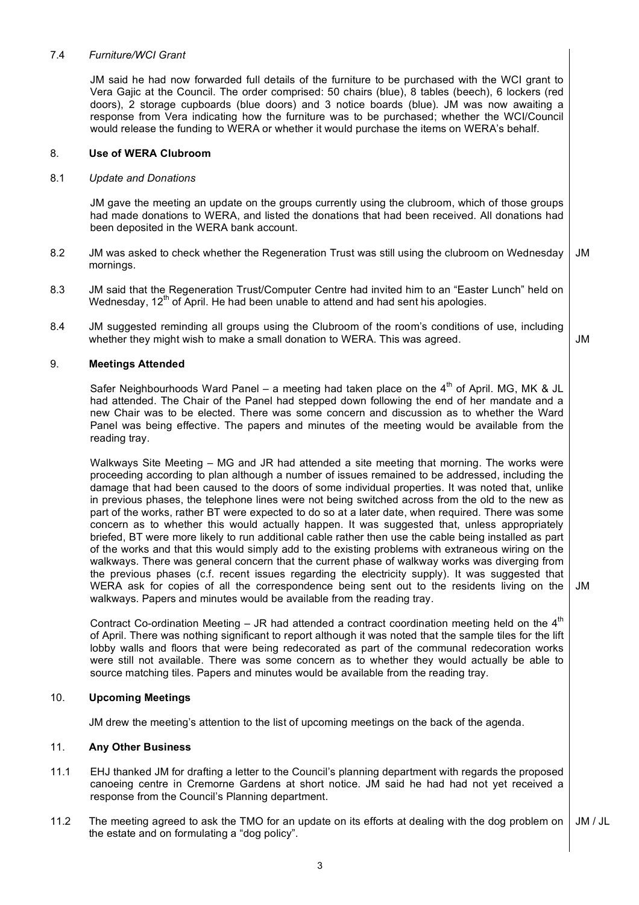## 7.4 *Furniture/WCI Grant*

JM said he had now forwarded full details of the furniture to be purchased with the WCI grant to Vera Gajic at the Council. The order comprised: 50 chairs (blue), 8 tables (beech), 6 lockers (red doors), 2 storage cupboards (blue doors) and 3 notice boards (blue). JM was now awaiting a response from Vera indicating how the furniture was to be purchased; whether the WCI/Council would release the funding to WERA or whether it would purchase the items on WERA's behalf.

## 8. **Use of WERA Clubroom**

## 8.1 *Update and Donations*

JM gave the meeting an update on the groups currently using the clubroom, which of those groups had made donations to WERA, and listed the donations that had been received. All donations had been deposited in the WERA bank account.

- 8.2 JM was asked to check whether the Regeneration Trust was still using the clubroom on Wednesday mornings. JM
- 8.3 JM said that the Regeneration Trust/Computer Centre had invited him to an "Easter Lunch" held on Wednesday,  $12<sup>th</sup>$  of April. He had been unable to attend and had sent his apologies.
- 8.4 JM suggested reminding all groups using the Clubroom of the room's conditions of use, including whether they might wish to make a small donation to WERA. This was agreed.

## 9. **Meetings Attended**

Safer Neighbourhoods Ward Panel – a meeting had taken place on the  $4<sup>th</sup>$  of April. MG, MK & JL had attended. The Chair of the Panel had stepped down following the end of her mandate and a new Chair was to be elected. There was some concern and discussion as to whether the Ward Panel was being effective. The papers and minutes of the meeting would be available from the reading tray.

JM

JM

Walkways Site Meeting – MG and JR had attended a site meeting that morning. The works were proceeding according to plan although a number of issues remained to be addressed, including the damage that had been caused to the doors of some individual properties. It was noted that, unlike in previous phases, the telephone lines were not being switched across from the old to the new as part of the works, rather BT were expected to do so at a later date, when required. There was some concern as to whether this would actually happen. It was suggested that, unless appropriately briefed, BT were more likely to run additional cable rather then use the cable being installed as part of the works and that this would simply add to the existing problems with extraneous wiring on the walkways. There was general concern that the current phase of walkway works was diverging from the previous phases (c.f. recent issues regarding the electricity supply). It was suggested that WERA ask for copies of all the correspondence being sent out to the residents living on the walkways. Papers and minutes would be available from the reading tray.

Contract Co-ordination Meeting – JR had attended a contract coordination meeting held on the  $4<sup>th</sup>$ of April. There was nothing significant to report although it was noted that the sample tiles for the lift lobby walls and floors that were being redecorated as part of the communal redecoration works were still not available. There was some concern as to whether they would actually be able to source matching tiles. Papers and minutes would be available from the reading tray.

## 10. **Upcoming Meetings**

JM drew the meeting's attention to the list of upcoming meetings on the back of the agenda.

## 11. **Any Other Business**

- 11.1 EHJ thanked JM for drafting a letter to the Council's planning department with regards the proposed canoeing centre in Cremorne Gardens at short notice. JM said he had had not yet received a response from the Council's Planning department.
- 11.2 The meeting agreed to ask the TMO for an update on its efforts at dealing with the dog problem on the estate and on formulating a "dog policy". JM / JL